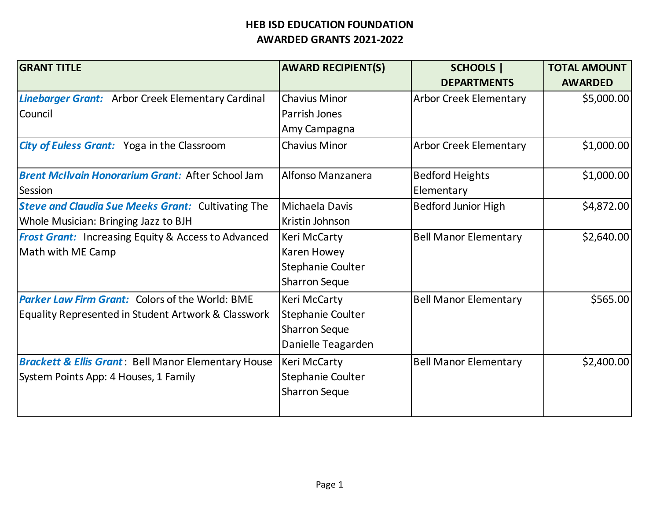| <b>GRANT TITLE</b>                                             | <b>AWARD RECIPIENT(S)</b> | <b>SCHOOLS</b>                | <b>TOTAL AMOUNT</b> |
|----------------------------------------------------------------|---------------------------|-------------------------------|---------------------|
|                                                                |                           | <b>DEPARTMENTS</b>            | <b>AWARDED</b>      |
| <b>Linebarger Grant:</b> Arbor Creek Elementary Cardinal       | <b>Chavius Minor</b>      | <b>Arbor Creek Elementary</b> | \$5,000.00          |
| Council                                                        | Parrish Jones             |                               |                     |
|                                                                | Amy Campagna              |                               |                     |
| <b>City of Euless Grant:</b> Yoga in the Classroom             | <b>Chavius Minor</b>      | <b>Arbor Creek Elementary</b> | \$1,000.00          |
| <b>Brent McIlvain Honorarium Grant: After School Jam</b>       | Alfonso Manzanera         | <b>Bedford Heights</b>        | \$1,000.00          |
| Session                                                        |                           | Elementary                    |                     |
| <b>Steve and Claudia Sue Meeks Grant: Cultivating The</b>      | Michaela Davis            | <b>Bedford Junior High</b>    | \$4,872.00          |
| Whole Musician: Bringing Jazz to BJH                           | Kristin Johnson           |                               |                     |
| <b>Frost Grant:</b> Increasing Equity & Access to Advanced     | Keri McCarty              | <b>Bell Manor Elementary</b>  | \$2,640.00          |
| Math with ME Camp                                              | Karen Howey               |                               |                     |
|                                                                | Stephanie Coulter         |                               |                     |
|                                                                | Sharron Seque             |                               |                     |
| <b>Parker Law Firm Grant:</b> Colors of the World: BME         | Keri McCarty              | <b>Bell Manor Elementary</b>  | \$565.00            |
| Equality Represented in Student Artwork & Classwork            | Stephanie Coulter         |                               |                     |
|                                                                | <b>Sharron Seque</b>      |                               |                     |
|                                                                | Danielle Teagarden        |                               |                     |
| <b>Brackett &amp; Ellis Grant: Bell Manor Elementary House</b> | Keri McCarty              | <b>Bell Manor Elementary</b>  | \$2,400.00          |
| System Points App: 4 Houses, 1 Family                          | Stephanie Coulter         |                               |                     |
|                                                                | <b>Sharron Seque</b>      |                               |                     |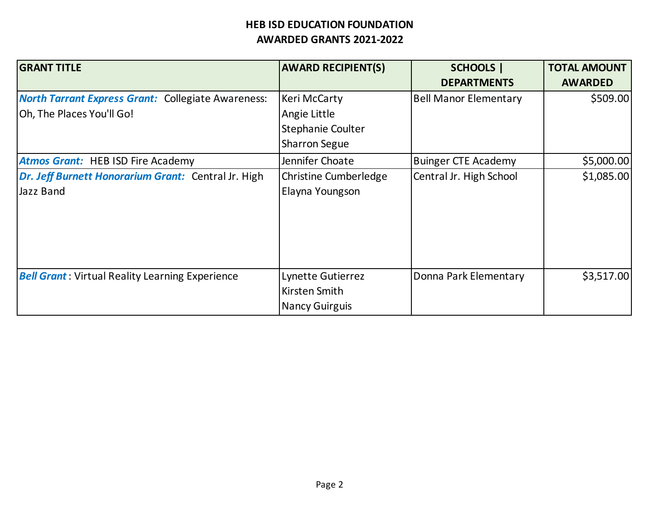| <b>GRANT TITLE</b>                                                                     | <b>AWARD RECIPIENT(S)</b>                                                        | <b>SCHOOLS</b>  <br><b>DEPARTMENTS</b> | <b>TOTAL AMOUNT</b><br><b>AWARDED</b> |
|----------------------------------------------------------------------------------------|----------------------------------------------------------------------------------|----------------------------------------|---------------------------------------|
| <b>North Tarrant Express Grant: Collegiate Awareness:</b><br>Oh, The Places You'll Go! | <b>Keri McCarty</b><br>Angie Little<br>Stephanie Coulter<br><b>Sharron Segue</b> | <b>Bell Manor Elementary</b>           | \$509.00                              |
| <b>Atmos Grant:</b> HEB ISD Fire Academy                                               | Jennifer Choate                                                                  | <b>Buinger CTE Academy</b>             | \$5,000.00                            |
| Dr. Jeff Burnett Honorarium Grant: Central Jr. High<br>Jazz Band                       | <b>Christine Cumberledge</b><br>Elayna Youngson                                  | Central Jr. High School                | \$1,085.00                            |
| <b>Bell Grant</b> : Virtual Reality Learning Experience                                | Lynette Gutierrez<br>Kirsten Smith<br><b>Nancy Guirguis</b>                      | Donna Park Elementary                  | \$3,517.00                            |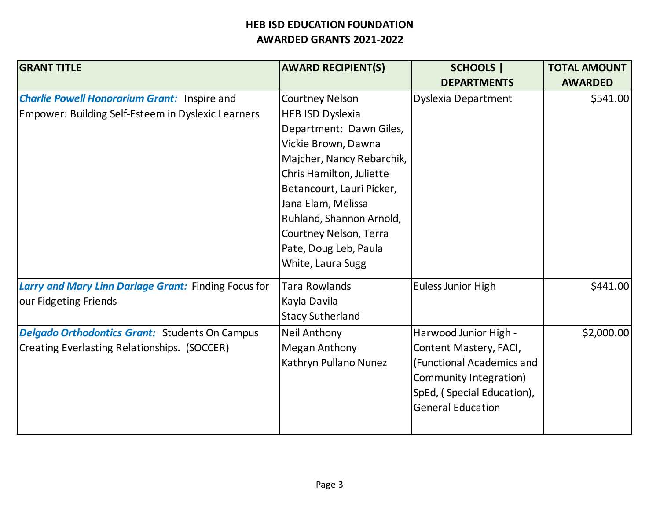| <b>GRANT TITLE</b>                                   | <b>AWARD RECIPIENT(S)</b> | <b>SCHOOLS  </b>           | <b>TOTAL AMOUNT</b> |
|------------------------------------------------------|---------------------------|----------------------------|---------------------|
|                                                      |                           | <b>DEPARTMENTS</b>         | <b>AWARDED</b>      |
| <b>Charlie Powell Honorarium Grant: Inspire and</b>  | <b>Courtney Nelson</b>    | <b>Dyslexia Department</b> | \$541.00            |
| Empower: Building Self-Esteem in Dyslexic Learners   | <b>HEB ISD Dyslexia</b>   |                            |                     |
|                                                      | Department: Dawn Giles,   |                            |                     |
|                                                      | Vickie Brown, Dawna       |                            |                     |
|                                                      | Majcher, Nancy Rebarchik, |                            |                     |
|                                                      | Chris Hamilton, Juliette  |                            |                     |
|                                                      | Betancourt, Lauri Picker, |                            |                     |
|                                                      | Jana Elam, Melissa        |                            |                     |
|                                                      | Ruhland, Shannon Arnold,  |                            |                     |
|                                                      | Courtney Nelson, Terra    |                            |                     |
|                                                      | Pate, Doug Leb, Paula     |                            |                     |
|                                                      | White, Laura Sugg         |                            |                     |
| Larry and Mary Linn Darlage Grant: Finding Focus for | <b>Tara Rowlands</b>      | Euless Junior High         | \$441.00            |
| our Fidgeting Friends                                | Kayla Davila              |                            |                     |
|                                                      | <b>Stacy Sutherland</b>   |                            |                     |
| Delgado Orthodontics Grant: Students On Campus       | <b>Neil Anthony</b>       | Harwood Junior High -      | \$2,000.00          |
| Creating Everlasting Relationships. (SOCCER)         | <b>Megan Anthony</b>      | Content Mastery, FACI,     |                     |
|                                                      | Kathryn Pullano Nunez     | (Functional Academics and  |                     |
|                                                      |                           | Community Integration)     |                     |
|                                                      |                           | SpEd, (Special Education), |                     |
|                                                      |                           | <b>General Education</b>   |                     |
|                                                      |                           |                            |                     |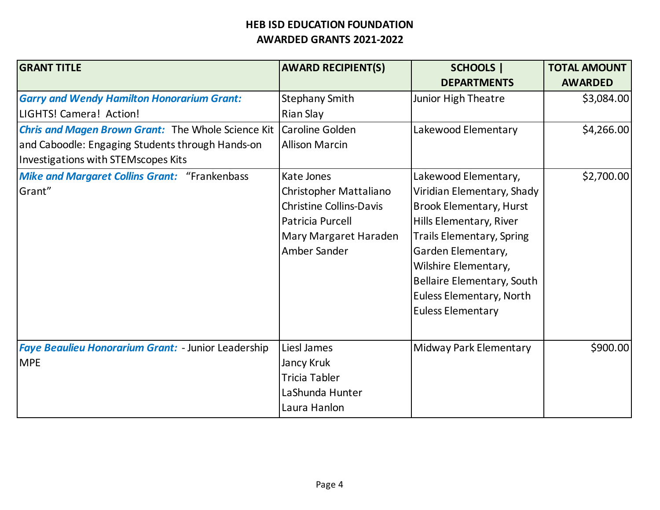| <b>GRANT TITLE</b>                                        | <b>AWARD RECIPIENT(S)</b>      | <b>SCHOOLS</b>                   | <b>TOTAL AMOUNT</b> |
|-----------------------------------------------------------|--------------------------------|----------------------------------|---------------------|
|                                                           |                                | <b>DEPARTMENTS</b>               | <b>AWARDED</b>      |
| <b>Garry and Wendy Hamilton Honorarium Grant:</b>         | <b>Stephany Smith</b>          | Junior High Theatre              | \$3,084.00          |
| LIGHTS! Camera! Action!                                   | Rian Slay                      |                                  |                     |
| <b>Chris and Magen Brown Grant:</b> The Whole Science Kit | Caroline Golden                | Lakewood Elementary              | \$4,266.00          |
| and Caboodle: Engaging Students through Hands-on          | <b>Allison Marcin</b>          |                                  |                     |
| Investigations with STEMscopes Kits                       |                                |                                  |                     |
| <b>Mike and Margaret Collins Grant: "Frankenbass</b>      | Kate Jones                     | Lakewood Elementary,             | \$2,700.00          |
| Grant"                                                    | Christopher Mattaliano         | Viridian Elementary, Shady       |                     |
|                                                           | <b>Christine Collins-Davis</b> | <b>Brook Elementary, Hurst</b>   |                     |
|                                                           | Patricia Purcell               | Hills Elementary, River          |                     |
|                                                           | Mary Margaret Haraden          | <b>Trails Elementary, Spring</b> |                     |
|                                                           | Amber Sander                   | Garden Elementary,               |                     |
|                                                           |                                | Wilshire Elementary,             |                     |
|                                                           |                                | Bellaire Elementary, South       |                     |
|                                                           |                                | Euless Elementary, North         |                     |
|                                                           |                                | <b>Euless Elementary</b>         |                     |
|                                                           |                                |                                  |                     |
| Faye Beaulieu Honorarium Grant: - Junior Leadership       | Liesl James                    | Midway Park Elementary           | \$900.00            |
| <b>MPE</b>                                                | Jancy Kruk                     |                                  |                     |
|                                                           | <b>Tricia Tabler</b>           |                                  |                     |
|                                                           | LaShunda Hunter                |                                  |                     |
|                                                           | Laura Hanlon                   |                                  |                     |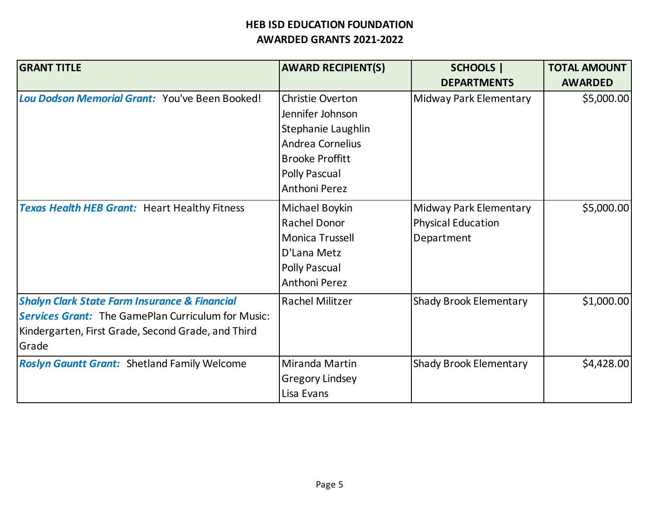| <b>GRANT TITLE</b>                                                                                                                                                                   | <b>AWARD RECIPIENT(S)</b>                                                                                                                                       | <b>SCHOOLS</b>  <br><b>DEPARTMENTS</b>                            | <b>TOTAL AMOUNT</b><br><b>AWARDED</b> |
|--------------------------------------------------------------------------------------------------------------------------------------------------------------------------------------|-----------------------------------------------------------------------------------------------------------------------------------------------------------------|-------------------------------------------------------------------|---------------------------------------|
| Lou Dodson Memorial Grant: You've Been Booked!                                                                                                                                       | <b>Christie Overton</b><br>Jennifer Johnson<br>Stephanie Laughlin<br>Andrea Cornelius<br><b>Brooke Proffitt</b><br><b>Polly Pascual</b><br><b>Anthoni Perez</b> | Midway Park Elementary                                            | \$5,000.00                            |
| <b>Texas Health HEB Grant: Heart Healthy Fitness</b>                                                                                                                                 | Michael Boykin<br><b>Rachel Donor</b><br>Monica Trussell<br>D'Lana Metz<br><b>Polly Pascual</b><br><b>Anthoni Perez</b>                                         | Midway Park Elementary<br><b>Physical Education</b><br>Department | \$5,000.00                            |
| <b>Shalyn Clark State Farm Insurance &amp; Financial</b><br><b>Services Grant:</b> The GamePlan Curriculum for Music:<br>Kindergarten, First Grade, Second Grade, and Third<br>Grade | Rachel Militzer                                                                                                                                                 | <b>Shady Brook Elementary</b>                                     | \$1,000.00                            |
| <b>Roslyn Gauntt Grant: Shetland Family Welcome</b>                                                                                                                                  | Miranda Martin<br><b>Gregory Lindsey</b><br>Lisa Evans                                                                                                          | <b>Shady Brook Elementary</b>                                     | \$4,428.00                            |